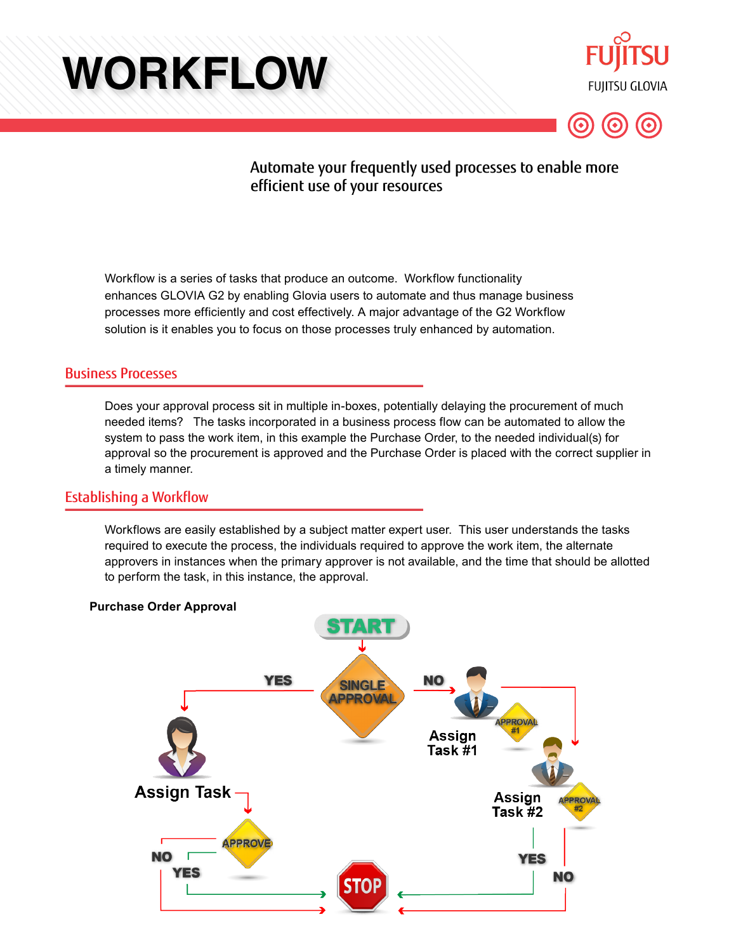# **WORKFLOW**





# Automate your frequently used processes to enable more efficient use of your resources

Workflow is a series of tasks that produce an outcome. Workflow functionality enhances GLOVIA G2 by enabling Glovia users to automate and thus manage business processes more efficiently and cost effectively. A major advantage of the G2 Workflow solution is it enables you to focus on those processes truly enhanced by automation.

## Business Processes

Does your approval process sit in multiple in-boxes, potentially delaying the procurement of much needed items? The tasks incorporated in a business process flow can be automated to allow the system to pass the work item, in this example the Purchase Order, to the needed individual(s) for approval so the procurement is approved and the Purchase Order is placed with the correct supplier in a timely manner.

### Establishing a Workflow

Workflows are easily established by a subject matter expert user. This user understands the tasks required to execute the process, the individuals required to approve the work item, the alternate approvers in instances when the primary approver is not available, and the time that should be allotted to perform the task, in this instance, the approval.



#### **Purchase Order Approval**